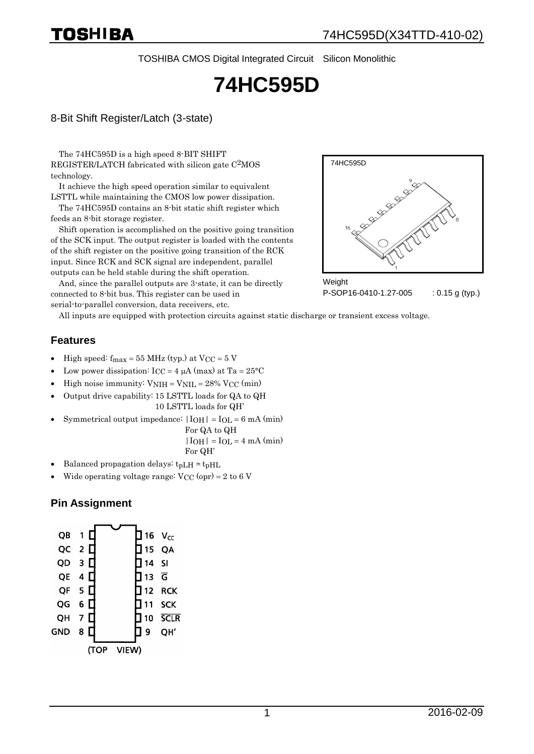TOSHIBA CMOS Digital Integrated Circuit Silicon Monolithic

# **74HC595D**

#### 8-Bit Shift Register/Latch (3-state)

The 74HC595D is a high speed 8-BIT SHIFT REGISTER/LATCH fabricated with silicon gate  $C<sup>2</sup>MOS$ technology.

It achieve the high speed operation similar to equivalent LSTTL while maintaining the CMOS low power dissipation.

The 74HC595D contains an 8-bit static shift register which feeds an 8-bit storage register.

Shift operation is accomplished on the positive going transition of the SCK input. The output register is loaded with the contents of the shift register on the positive going transition of the RCK input. Since RCK and SCK signal are independent, parallel outputs can be held stable during the shift operation.

And, since the parallel outputs are 3-state, it can be directly connected to 8-bit bus. This register can be used in serial-to-parallel conversion, data receivers, etc.



**Weight** P-SOP16-0410-1.27-005 : 0.15 g (typ.)

All inputs are equipped with protection circuits against static discharge or transient excess voltage.

#### **Features**

- High speed:  $f_{\text{max}} = 55 \text{ MHz (typ.)}$  at  $V_{\text{CC}} = 5 \text{ V}$
- Low power dissipation:  $I_{\text{CC}} = 4 \mu A \text{ (max)}$  at Ta =  $25^{\circ}$ C
- High noise immunity:  $VNIH = VNIL = 28\%$   $VCC$  (min)
- Output drive capability: 15 LSTTL loads for QA to QH 10 LSTTL loads for QH'
- Symmetrical output impedance:  $|IOH| = IOL = 6 mA (min)$

For QA to QH

 $|IOH| = IOL = 4 mA (min)$ For QH'

- Balanced propagation delays:  $t_{pL}H \approx t_{pH}L$
- Wide operating voltage range:  $V_{CC}$  (opr) = 2 to 6 V

#### **Pin Assignment**

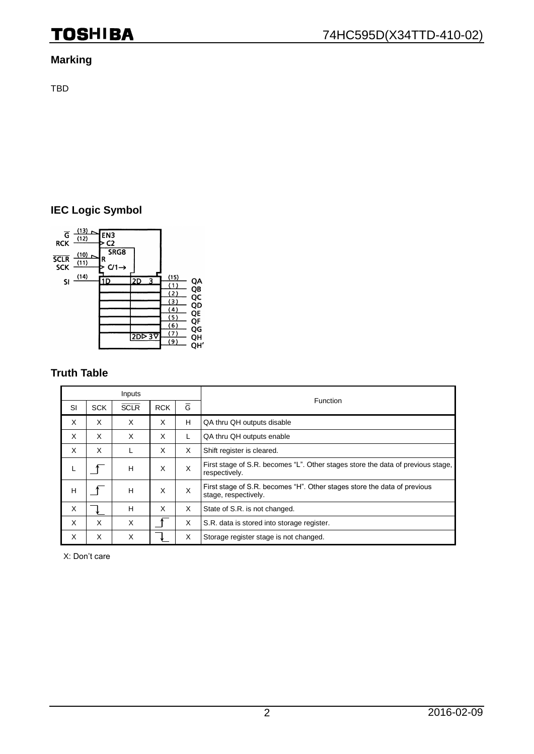## **TOSHIBA**

#### **Marking**

TBD

#### **IEC Logic Symbol**



#### **Truth Table**

| Inputs |            |             |            |                |                                                                                                  |
|--------|------------|-------------|------------|----------------|--------------------------------------------------------------------------------------------------|
| SI     | <b>SCK</b> | <b>SCLR</b> | <b>RCK</b> | $\overline{G}$ | Function                                                                                         |
| X      | X          | X           | X          | н              | QA thru QH outputs disable                                                                       |
| X      | X          | X           | X          | L              | QA thru QH outputs enable                                                                        |
| X      | X          | L           | X          | X              | Shift register is cleared.                                                                       |
| L      |            | H           | X          | X              | First stage of S.R. becomes "L". Other stages store the data of previous stage,<br>respectively. |
| H      |            | H           | X          | X              | First stage of S.R. becomes "H". Other stages store the data of previous<br>stage, respectively. |
| X      |            | H           | X          | X              | State of S.R. is not changed.                                                                    |
| X      | X          | X           |            | X              | S.R. data is stored into storage register.                                                       |
| X      | X          | X           |            | X              | Storage register stage is not changed.                                                           |

X: Don't care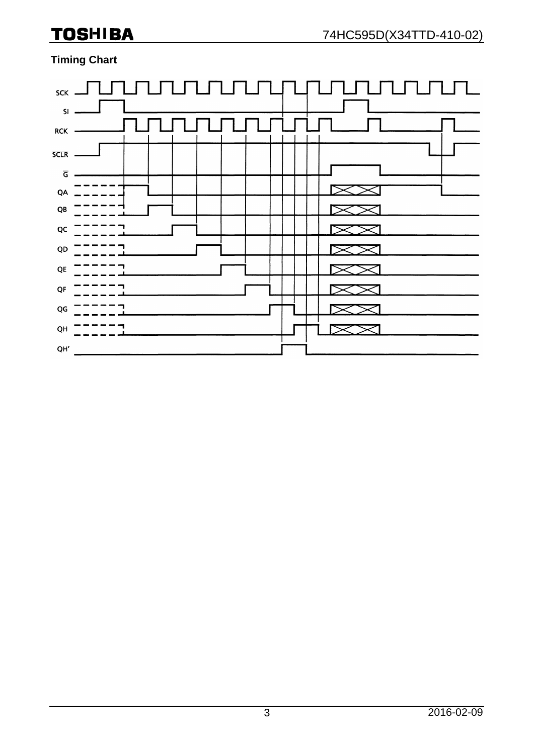### **TOSHIBA**

### **Timing Chart**

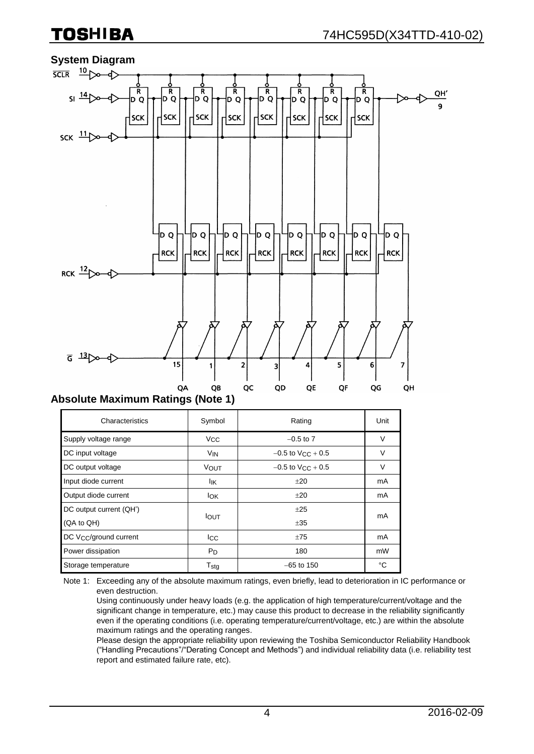## TOSHIBA

# **System Diagram**<br>
<u>SCLR</u> 10<sub></sub>



#### **Absolute Maximum Ratings (Note 1)**

| Characteristics                    | Symbol                | Rating                   | Unit   |
|------------------------------------|-----------------------|--------------------------|--------|
| Supply voltage range               | <b>V<sub>CC</sub></b> | $-0.5$ to $7$            | $\vee$ |
| DC input voltage                   | V <sub>IN</sub>       | $-0.5$ to $V_{CC}$ + 0.5 | V      |
| DC output voltage                  | VOUT                  | $-0.5$ to $V_{CC}$ + 0.5 | V      |
| Input diode current                | lικ                   | ±20                      | mA     |
| Output diode current               | lok                   | ±20                      | mA     |
| DC output current (QH')            |                       | ±25                      | mA     |
| (QA to QH)                         | <b>IOUT</b>           | ±35                      |        |
| DC V <sub>CC</sub> /ground current | Icc                   | ±75                      | mA     |
| Power dissipation                  | $P_D$                 | 180                      | mW     |
| Storage temperature                | $T_{\text{stg}}$      | $-65$ to 150             | °C     |

Note 1: Exceeding any of the absolute maximum ratings, even briefly, lead to deterioration in IC performance or even destruction.

Using continuously under heavy loads (e.g. the application of high temperature/current/voltage and the significant change in temperature, etc.) may cause this product to decrease in the reliability significantly even if the operating conditions (i.e. operating temperature/current/voltage, etc.) are within the absolute maximum ratings and the operating ranges.

Please design the appropriate reliability upon reviewing the Toshiba Semiconductor Reliability Handbook ("Handling Precautions"/"Derating Concept and Methods") and individual reliability data (i.e. reliability test report and estimated failure rate, etc).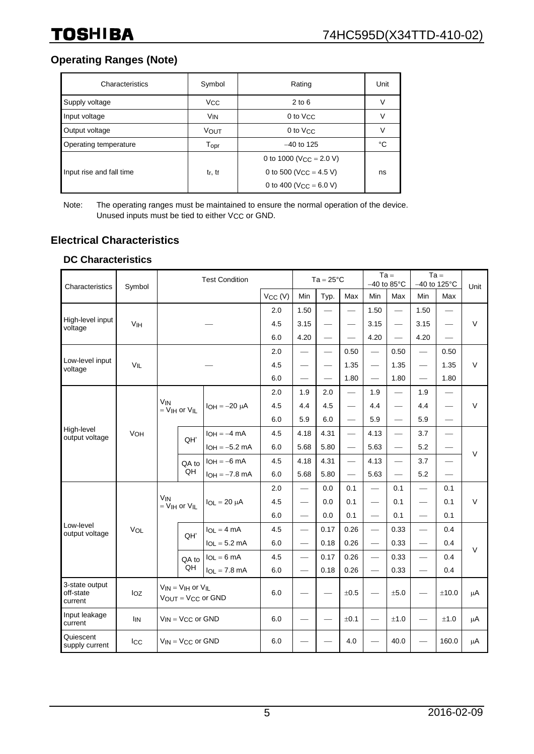#### **Operating Ranges (Note)**

| Characteristics          | Symbol                          | Rating                              | Unit   |
|--------------------------|---------------------------------|-------------------------------------|--------|
| Supply voltage           | <b>Vcc</b>                      | $2$ to 6                            | V      |
| Input voltage            | <b>V<sub>IN</sub></b>           | 0 to V <sub>CC</sub>                | $\vee$ |
| Output voltage           | <b>VOUT</b>                     | 0 to V <sub>CC</sub>                | $\vee$ |
| Operating temperature    | $T_{\mathsf{opr}}$              | $-40$ to 125                        | °C     |
|                          |                                 | 0 to 1000 (V <sub>CC</sub> = 2.0 V) |        |
| Input rise and fall time | t <sub>r</sub> , t <sub>f</sub> | 0 to 500 (V <sub>CC</sub> = 4.5 V)  | ns     |
|                          |                                 | 0 to 400 ( $V_{CC} = 6.0 V$ )       |        |

Note: The operating ranges must be maintained to ensure the normal operation of the device. Unused inputs must be tied to either VCC or GND.

#### **Electrical Characteristics**

#### **DC Characteristics**

| Characteristics                        | Symbol                | <b>Test Condition</b>                                           |                                                            |                   | $Ta = 25^{\circ}C$ |                               |                               | $Ta =$<br>$-40$ to 85 $^{\circ}$ C |                               | $Ta =$<br>$-40$ to 125 $\degree$ C |                          | Unit                          |        |  |
|----------------------------------------|-----------------------|-----------------------------------------------------------------|------------------------------------------------------------|-------------------|--------------------|-------------------------------|-------------------------------|------------------------------------|-------------------------------|------------------------------------|--------------------------|-------------------------------|--------|--|
|                                        |                       |                                                                 |                                                            |                   | $V_{CC} (V)$       | Min                           | Typ.                          | Max                                | Min                           | Max                                | Min                      | Max                           |        |  |
|                                        |                       |                                                                 |                                                            |                   | 2.0                | 1.50                          |                               | $\overline{\phantom{0}}$           | 1.50                          | $\overline{\phantom{0}}$           | 1.50                     | $\overline{\phantom{0}}$      |        |  |
| High-level input<br>voltage            | <b>V<sub>IH</sub></b> |                                                                 |                                                            |                   | 4.5                | 3.15                          | $\overline{\phantom{0}}$      |                                    | 3.15                          |                                    | 3.15                     |                               | V      |  |
|                                        |                       |                                                                 |                                                            |                   | 6.0                | 4.20                          |                               | $\overline{\phantom{m}}$           | 4.20                          | $\overline{\phantom{0}}$           | 4.20                     |                               |        |  |
|                                        |                       |                                                                 |                                                            |                   | 2.0                |                               |                               | 0.50                               | $\overbrace{\phantom{aaaaa}}$ | 0.50                               |                          | 0.50                          |        |  |
| Low-level input<br>voltage             | VIL                   |                                                                 |                                                            |                   | 4.5                |                               | $\overbrace{\phantom{aaaaa}}$ | 1.35                               |                               | 1.35                               |                          | 1.35                          | $\vee$ |  |
|                                        |                       |                                                                 |                                                            |                   | 6.0                |                               | $\qquad \qquad$               | 1.80                               |                               | 1.80                               |                          | 1.80                          |        |  |
|                                        |                       | <b>V<sub>IN</sub></b><br>$=$ V <sub>IH</sub> or V <sub>IL</sub> |                                                            |                   | 2.0                | 1.9                           | 2.0                           |                                    | 1.9                           | $\overline{\phantom{0}}$           | 1.9                      |                               | V      |  |
|                                        |                       |                                                                 |                                                            | $IOH = -20 \mu A$ | 4.5                | 4.4                           | 4.5                           |                                    | 4.4                           |                                    | 4.4                      | $\overline{\phantom{0}}$      |        |  |
|                                        |                       |                                                                 |                                                            |                   | 6.0                | 5.9                           | 6.0                           |                                    | 5.9                           | $\overline{\phantom{0}}$           | 5.9                      |                               |        |  |
| High-level<br>output voltage           | <b>VOH</b>            |                                                                 | QH'                                                        | $IOH = -4 mA$     | 4.5                | 4.18                          | 4.31                          |                                    | 4.13                          | $\qquad \qquad$                    | 3.7                      | $\overbrace{\phantom{13333}}$ | $\vee$ |  |
|                                        |                       |                                                                 |                                                            | $IOH = -5.2 mA$   | 6.0                | 5.68                          | 5.80                          |                                    | 5.63                          | $\overline{\phantom{0}}$           | 5.2                      | $\overline{\phantom{0}}$      |        |  |
|                                        |                       |                                                                 | QA to<br>QH                                                | $IOH = -6 mA$     | 4.5                | 4.18                          | 4.31                          |                                    | 4.13                          | $\qquad \qquad$                    | 3.7                      |                               |        |  |
|                                        |                       |                                                                 |                                                            | $IOH = -7.8$ mA   | 6.0                | 5.68                          | 5.80                          |                                    | 5.63                          |                                    | 5.2                      | $\overline{\phantom{0}}$      |        |  |
|                                        | VOL                   |                                                                 |                                                            |                   | $IOL = 20 \mu A$   | 2.0                           |                               | 0.0                                | 0.1                           |                                    | 0.1                      | $\overline{\phantom{0}}$      | 0.1    |  |
|                                        |                       | <b>V<sub>IN</sub></b>                                           | $=$ V <sub>IH</sub> or V <sub>IL</sub>                     | 4.5               |                    | $\overbrace{\phantom{12333}}$ | 0.0                           | 0.1                                |                               | 0.1                                |                          | 0.1                           | V      |  |
|                                        |                       |                                                                 |                                                            | 6.0               |                    |                               | 0.0                           | 0.1                                |                               | 0.1                                | $\overline{\phantom{0}}$ | 0.1                           |        |  |
| Low-level<br>output voltage            |                       |                                                                 | QH'                                                        | $IOL = 4 mA$      | 4.5                | $\equiv$                      | 0.17                          | 0.26                               | $\equiv$                      | 0.33                               | $\equiv$                 | 0.4                           | $\vee$ |  |
|                                        |                       |                                                                 |                                                            | $IOL = 5.2 mA$    | 6.0                |                               | 0.18                          | 0.26                               |                               | 0.33                               |                          | 0.4                           |        |  |
|                                        |                       |                                                                 | QA to                                                      | $IOL = 6 mA$      | 4.5                |                               | 0.17                          | 0.26                               |                               | 0.33                               |                          | 0.4                           |        |  |
|                                        |                       |                                                                 | QH                                                         | $IOL = 7.8 mA$    | 6.0                |                               | 0.18                          | 0.26                               |                               | 0.33                               |                          | 0.4                           |        |  |
| 3-state output<br>off-state<br>current | $I_{OZ}$              |                                                                 | $V_{IN} = V_{IH}$ or $V_{IL}$<br>$V_{OUT} = V_{CC}$ or GND |                   |                    |                               | $\overline{\phantom{0}}$      | ±0.5                               |                               | ±5.0                               |                          | ±10.0                         | μA     |  |
| Input leakage<br>current               | <b>IIN</b>            |                                                                 | $V_{IN} = V_{CC}$ or GND                                   |                   | 6.0                |                               |                               | ±0.1                               |                               | ±1.0                               |                          | ±1.0                          | μA     |  |
| Quiescent<br>supply current            | Icc                   |                                                                 | $V_{IN}$ = $V_{CC}$ or GND                                 |                   | 6.0                |                               |                               | 4.0                                |                               | 40.0                               | $\overline{\phantom{0}}$ | 160.0                         | μA     |  |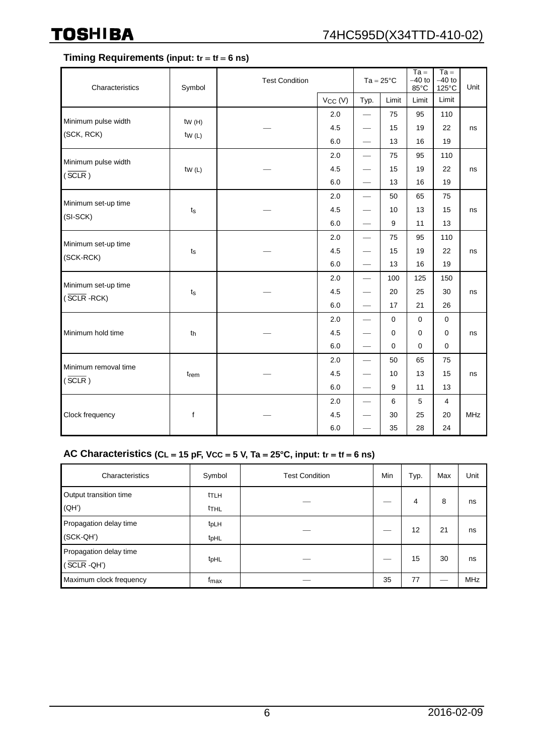#### **Timing Requirements** (input:  $tr = tf = 6$  ns)

| Characteristics      | Symbol                             | <b>Test Condition</b> | $Ta = 25^{\circ}C$ |                                 | $Ta =$<br>$-40$ to<br>85°C | $Ta =$<br>$-40$ to<br>125°C | Unit           |     |
|----------------------|------------------------------------|-----------------------|--------------------|---------------------------------|----------------------------|-----------------------------|----------------|-----|
|                      |                                    |                       | $V_{CC} (V)$       | Typ.                            | Limit                      | Limit                       | Limit          |     |
| Minimum pulse width  | tw(H)                              |                       | 2.0                |                                 | 75                         | 95                          | 110            |     |
| (SCK, RCK)           | tw(L)                              |                       | 4.5                | $\hspace{0.05cm}$               | 15                         | 19                          | 22             | ns  |
|                      |                                    |                       | 6.0                | $\hspace{0.05cm}$               | 13                         | 16                          | 19             |     |
| Minimum pulse width  |                                    |                       | 2.0                |                                 | 75                         | 95                          | 110            |     |
| $(\overline{SCLR})$  | tw(L)                              |                       | 4.5                |                                 | 15                         | 19                          | 22             | ns  |
|                      |                                    |                       | 6.0                | $\hspace{0.05cm}$               | 13                         | 16                          | 19             |     |
| Minimum set-up time  |                                    |                       | 2.0                | $\overbrace{\phantom{aaaaa}}$   | 50                         | 65                          | 75             |     |
| (SI-SCK)             | $t_{\scriptscriptstyle\textrm{S}}$ |                       | 4.5                | $\overbrace{\phantom{12333}}$   | 10                         | 13                          | 15             | ns  |
|                      |                                    |                       | 6.0                | $\overline{\phantom{m}}$        | 9                          | 11                          | 13             |     |
| Minimum set-up time  |                                    |                       | 2.0                | $\overbrace{\phantom{123321}}$  | 75                         | 95                          | 110            |     |
| (SCK-RCK)            | $t_{\rm S}$                        |                       | 4.5                | $\overbrace{\phantom{aaaaa}}$   | 15                         | 19                          | 22             | ns  |
|                      |                                    |                       | 6.0                | $\hspace{0.05cm}$               | 13                         | 16                          | 19             |     |
| Minimum set-up time  | $t_{\rm S}$                        |                       | 2.0                | $\overbrace{\phantom{12333}}$   | 100                        | 125                         | 150            | ns  |
| $(SCLR - RCK)$       |                                    |                       | 4.5                | $\hspace{0.1mm}-\hspace{0.1mm}$ | 20                         | 25                          | 30             |     |
|                      |                                    |                       | 6.0                | $\overline{\phantom{m}}$        | 17                         | 21                          | 26             |     |
|                      |                                    |                       | 2.0                |                                 | $\mathbf 0$                | $\Omega$                    | $\mathbf 0$    |     |
| Minimum hold time    | th                                 |                       | 4.5                | $\overbrace{\phantom{12333}}$   | $\mathbf 0$                | $\mathbf 0$                 | $\mathbf 0$    | ns  |
|                      |                                    |                       | 6.0                | $\hspace{0.05cm}$               | $\mathbf 0$                | $\Omega$                    | $\mathbf 0$    |     |
| Minimum removal time |                                    |                       | 2.0                | $\qquad \qquad -$               | 50                         | 65                          | 75             |     |
| (SCLR)               | t <sub>rem</sub>                   |                       | 4.5                |                                 | 10                         | 13                          | 15             | ns  |
|                      |                                    |                       | 6.0                | $\overline{\phantom{m}}$        | $\boldsymbol{9}$           | 11                          | 13             |     |
|                      |                                    |                       | 2.0                | $\overline{\phantom{m}}$        | 6                          | 5                           | $\overline{4}$ |     |
| Clock frequency      | $\mathsf f$                        |                       | 4.5                | $\hspace{0.1mm}-\hspace{0.1mm}$ | 30                         | 25                          | 20             | MHz |
|                      |                                    |                       | 6.0                | $\overline{\phantom{0}}$        | 35                         | 28                          | 24             |     |

#### AC Characteristics  $(CL = 15 \text{ pF}, \text{VCC} = 5 \text{ V}, \text{Ta} = 25^{\circ}\text{C}, \text{input: tr} = \text{tf} = 6 \text{ ns})$

| Characteristics                                    | Symbol                               | <b>Test Condition</b> | Min | Typ. | Max | Unit       |
|----------------------------------------------------|--------------------------------------|-----------------------|-----|------|-----|------------|
| Output transition time<br>(QH')                    | t <sub>TLH</sub><br><b>THL</b>       |                       |     | 4    | 8   | ns         |
| Propagation delay time<br>(SCK-QH')                | t <sub>pLH</sub><br>t <sub>pHL</sub> |                       |     | 12   | 21  | ns         |
| Propagation delay time<br>$(\overline{SCLR} - QH)$ | t <sub>pHL</sub>                     |                       |     | 15   | 30  | ns         |
| Maximum clock frequency                            | f <sub>max</sub>                     |                       | 35  | 77   |     | <b>MHz</b> |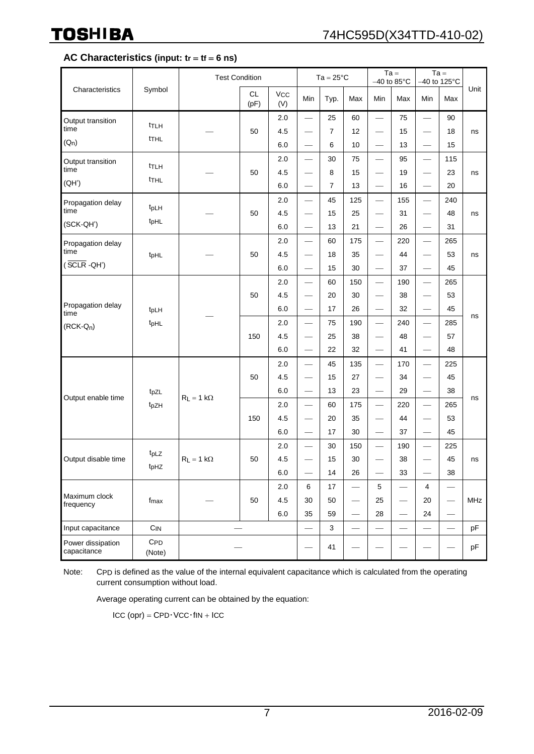#### AC Characteristics (input:  $tr = tf = 6$  ns)

|                                                       |                                      | <b>Test Condition</b> |                   |                       |                                                                         | $Ta = 25^{\circ}C$        |                                                              | $Ta =$<br>$-40$ to 85 $^{\circ}$ C                           |                                | $Ta =$<br>$-40$ to 125 $\degree$ C                            |                                                      |                 |                 |
|-------------------------------------------------------|--------------------------------------|-----------------------|-------------------|-----------------------|-------------------------------------------------------------------------|---------------------------|--------------------------------------------------------------|--------------------------------------------------------------|--------------------------------|---------------------------------------------------------------|------------------------------------------------------|-----------------|-----------------|
| Characteristics                                       | Symbol                               |                       | <b>CL</b><br>(pF) | Vcc<br>(V)            | Min                                                                     | Typ.                      | Max                                                          | Min                                                          | Max                            | Min                                                           | Max                                                  | Unit            |                 |
| Output transition<br>time<br>$(Q_n)$                  | ttlh<br><b>THL</b>                   |                       | 50                | 2.0<br>4.5<br>6.0     | $\overline{\phantom{0}}$<br>$\overline{\phantom{0}}$                    | 25<br>$\overline{7}$<br>6 | 60<br>12<br>10                                               | $\overline{\phantom{0}}$                                     | 75<br>15<br>13                 | $\overbrace{\phantom{123221111}}$<br>$\overline{\phantom{0}}$ | 90<br>18<br>15                                       | ns              |                 |
| Output transition<br>time<br>(QH')                    | t <sub>TLH</sub><br>t <sub>THL</sub> |                       | 50                | 2.0<br>4.5<br>6.0     | $\overline{\phantom{0}}$<br>$\overline{\phantom{0}}$<br>$\qquad \qquad$ | 30<br>8<br>$\overline{7}$ | 75<br>15<br>13                                               | $\overline{\phantom{0}}$                                     | 95<br>19<br>16                 | $\overline{\phantom{0}}$                                      | 115<br>23<br>20                                      | ns              |                 |
| Propagation delay<br>time<br>(SCK-QH')                | t <sub>pLH</sub><br>t <sub>pHL</sub> |                       | 50                | 2.0<br>4.5<br>6.0     | $\overline{\phantom{0}}$                                                | 45<br>15<br>13            | 125<br>25<br>21                                              | $\overline{\phantom{0}}$                                     | 155<br>31<br>26                | $\overline{\phantom{0}}$                                      | 240<br>48<br>31                                      | ns              |                 |
| Propagation delay<br>time<br>$(\overline{SCLR} - QH)$ | t <sub>pHL</sub>                     |                       | 50                | 2.0<br>4.5<br>6.0     |                                                                         | 60<br>18<br>15            | 175<br>35<br>30                                              | $\overbrace{\phantom{12333}}$                                | 220<br>44<br>37                | $\overline{\phantom{0}}$                                      | 265<br>53<br>45                                      | ns              |                 |
| Propagation delay<br>time                             | t <sub>pLH</sub><br>t <sub>pHL</sub> |                       | 50                | 2.0<br>4.5<br>6.0     | $\overline{\phantom{0}}$                                                | 60<br>20<br>17            | 150<br>30<br>26                                              | $\overline{\phantom{0}}$<br>$\overline{\phantom{0}}$         | 190<br>38<br>32                |                                                               | 265<br>53<br>45                                      | ns              |                 |
| $(RCK-Qn)$                                            |                                      |                       | 150               | 2.0<br>4.5<br>6.0     |                                                                         | 75<br>25<br>22            | 190<br>38<br>32                                              | $\overline{\phantom{0}}$                                     | 240<br>48<br>41                | $\overline{\phantom{0}}$<br>$\overline{\phantom{0}}$          | 285<br>57<br>48                                      |                 |                 |
|                                                       | tpZL<br>t <sub>pZH</sub>             |                       |                   | 50                    | 2.0<br>4.5<br>6.0                                                       | $\overline{\phantom{0}}$  | 45<br>15<br>13                                               | 135<br>27<br>23                                              | $\overbrace{\phantom{123321}}$ | 170<br>34<br>29                                               | $\overline{\phantom{0}}$<br>$\overline{\phantom{0}}$ | 225<br>45<br>38 |                 |
| Output enable time                                    |                                      |                       |                   | $R_L = 1 k\Omega$     | 150                                                                     | 2.0<br>4.5<br>6.0         | $\overline{\phantom{0}}$<br>$\overbrace{\phantom{12322111}}$ | 60<br>20<br>17                                               | 175<br>35<br>30                | $\overbrace{\phantom{12322111}}$                              | 220<br>44<br>37                                      |                 | 265<br>53<br>45 |
| Output disable time                                   | t <sub>pLZ</sub><br>t <sub>pHZ</sub> | $R_L = 1 k\Omega$     | 50                | 2.0<br>4.5<br>$6.0\,$ | $\overline{\phantom{0}}$                                                | 30<br>15<br>14            | 150<br>30<br>26                                              | $\overbrace{\phantom{12322111}}$<br>$\overline{\phantom{0}}$ | 190<br>38<br>33                |                                                               | 225<br>45<br>38                                      | ns              |                 |
| Maximum clock<br>frequency                            | fmax                                 |                       | 50                | 2.0<br>4.5<br>6.0     | 6<br>30<br>35                                                           | 17<br>50<br>59            | $\overbrace{\phantom{12333}}$                                | 5<br>25<br>28                                                | $\overline{\phantom{0}}$       | $\overline{4}$<br>20<br>24                                    |                                                      | MHz             |                 |
| Input capacitance                                     | $\mathrm{C_{IN}}$                    |                       |                   |                       |                                                                         | 3                         | $\overline{\phantom{0}}$                                     |                                                              | $\overline{\phantom{0}}$       |                                                               |                                                      | pF              |                 |
| Power dissipation<br>capacitance                      | $C_{PD}$<br>(Note)                   |                       |                   |                       |                                                                         | 41                        | $\overline{\phantom{0}}$                                     |                                                              |                                |                                                               |                                                      | pF              |                 |

Note: CPD is defined as the value of the internal equivalent capacitance which is calculated from the operating current consumption without load.

Average operating current can be obtained by the equation:

 $\text{ICC (opr)} = \text{CPD} \cdot \text{VCC} \cdot \text{fin} + \text{ICC}$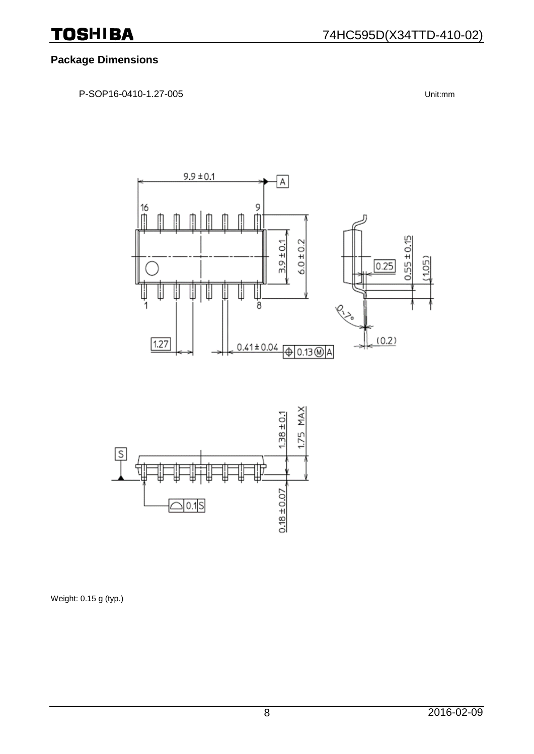#### **Package Dimensions**

P-SOP16-0410-1.27-005 Unit:mm





Weight: 0.15 g (typ.)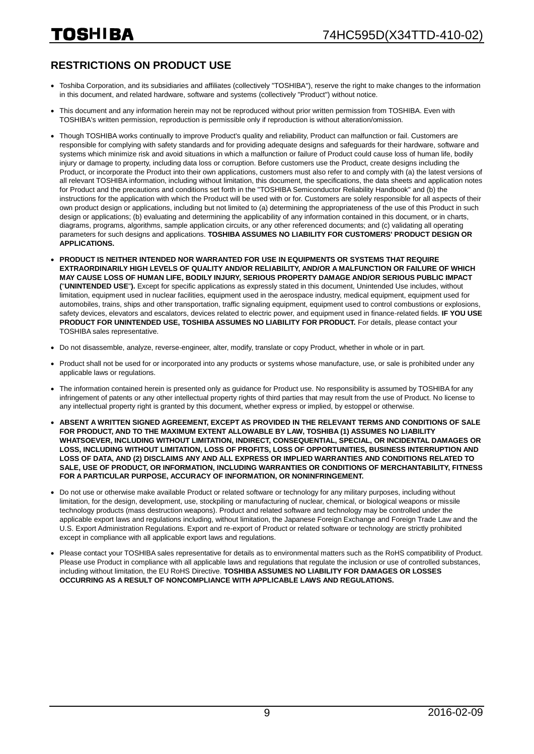#### **RESTRICTIONS ON PRODUCT USE**

- Toshiba Corporation, and its subsidiaries and affiliates (collectively "TOSHIBA"), reserve the right to make changes to the information in this document, and related hardware, software and systems (collectively "Product") without notice.
- This document and any information herein may not be reproduced without prior written permission from TOSHIBA. Even with TOSHIBA's written permission, reproduction is permissible only if reproduction is without alteration/omission.
- Though TOSHIBA works continually to improve Product's quality and reliability, Product can malfunction or fail. Customers are responsible for complying with safety standards and for providing adequate designs and safeguards for their hardware, software and systems which minimize risk and avoid situations in which a malfunction or failure of Product could cause loss of human life, bodily injury or damage to property, including data loss or corruption. Before customers use the Product, create designs including the Product, or incorporate the Product into their own applications, customers must also refer to and comply with (a) the latest versions of all relevant TOSHIBA information, including without limitation, this document, the specifications, the data sheets and application notes for Product and the precautions and conditions set forth in the "TOSHIBA Semiconductor Reliability Handbook" and (b) the instructions for the application with which the Product will be used with or for. Customers are solely responsible for all aspects of their own product design or applications, including but not limited to (a) determining the appropriateness of the use of this Product in such design or applications; (b) evaluating and determining the applicability of any information contained in this document, or in charts, diagrams, programs, algorithms, sample application circuits, or any other referenced documents; and (c) validating all operating parameters for such designs and applications. **TOSHIBA ASSUMES NO LIABILITY FOR CUSTOMERS' PRODUCT DESIGN OR APPLICATIONS.**
- **PRODUCT IS NEITHER INTENDED NOR WARRANTED FOR USE IN EQUIPMENTS OR SYSTEMS THAT REQUIRE EXTRAORDINARILY HIGH LEVELS OF QUALITY AND/OR RELIABILITY, AND/OR A MALFUNCTION OR FAILURE OF WHICH MAY CAUSE LOSS OF HUMAN LIFE, BODILY INJURY, SERIOUS PROPERTY DAMAGE AND/OR SERIOUS PUBLIC IMPACT (**"**UNINTENDED USE**"**).** Except for specific applications as expressly stated in this document, Unintended Use includes, without limitation, equipment used in nuclear facilities, equipment used in the aerospace industry, medical equipment, equipment used for automobiles, trains, ships and other transportation, traffic signaling equipment, equipment used to control combustions or explosions, safety devices, elevators and escalators, devices related to electric power, and equipment used in finance-related fields. **IF YOU USE PRODUCT FOR UNINTENDED USE, TOSHIBA ASSUMES NO LIABILITY FOR PRODUCT.** For details, please contact your TOSHIBA sales representative.
- Do not disassemble, analyze, reverse-engineer, alter, modify, translate or copy Product, whether in whole or in part.
- Product shall not be used for or incorporated into any products or systems whose manufacture, use, or sale is prohibited under any applicable laws or regulations.
- The information contained herein is presented only as guidance for Product use. No responsibility is assumed by TOSHIBA for any infringement of patents or any other intellectual property rights of third parties that may result from the use of Product. No license to any intellectual property right is granted by this document, whether express or implied, by estoppel or otherwise.
- **ABSENT A WRITTEN SIGNED AGREEMENT, EXCEPT AS PROVIDED IN THE RELEVANT TERMS AND CONDITIONS OF SALE FOR PRODUCT, AND TO THE MAXIMUM EXTENT ALLOWABLE BY LAW, TOSHIBA (1) ASSUMES NO LIABILITY WHATSOEVER, INCLUDING WITHOUT LIMITATION, INDIRECT, CONSEQUENTIAL, SPECIAL, OR INCIDENTAL DAMAGES OR LOSS, INCLUDING WITHOUT LIMITATION, LOSS OF PROFITS, LOSS OF OPPORTUNITIES, BUSINESS INTERRUPTION AND LOSS OF DATA, AND (2) DISCLAIMS ANY AND ALL EXPRESS OR IMPLIED WARRANTIES AND CONDITIONS RELATED TO SALE, USE OF PRODUCT, OR INFORMATION, INCLUDING WARRANTIES OR CONDITIONS OF MERCHANTABILITY, FITNESS FOR A PARTICULAR PURPOSE, ACCURACY OF INFORMATION, OR NONINFRINGEMENT.**
- Do not use or otherwise make available Product or related software or technology for any military purposes, including without limitation, for the design, development, use, stockpiling or manufacturing of nuclear, chemical, or biological weapons or missile technology products (mass destruction weapons). Product and related software and technology may be controlled under the applicable export laws and regulations including, without limitation, the Japanese Foreign Exchange and Foreign Trade Law and the U.S. Export Administration Regulations. Export and re-export of Product or related software or technology are strictly prohibited except in compliance with all applicable export laws and regulations.
- Please contact your TOSHIBA sales representative for details as to environmental matters such as the RoHS compatibility of Product. Please use Product in compliance with all applicable laws and regulations that regulate the inclusion or use of controlled substances, including without limitation, the EU RoHS Directive. **TOSHIBA ASSUMES NO LIABILITY FOR DAMAGES OR LOSSES OCCURRING AS A RESULT OF NONCOMPLIANCE WITH APPLICABLE LAWS AND REGULATIONS.**